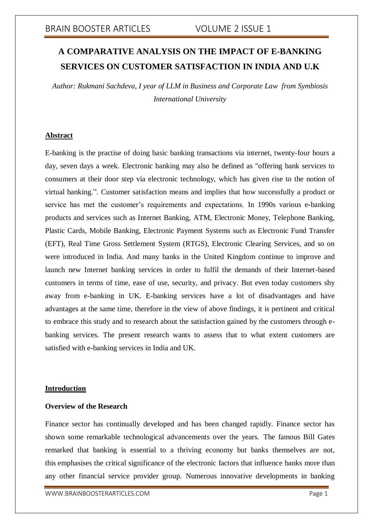# **A COMPARATIVE ANALYSIS ON THE IMPACT OF E-BANKING SERVICES ON CUSTOMER SATISFACTION IN INDIA AND U.K**

*Author: Rukmani Sachdeva, I year of LLM in Business and Corporate Law from Symbiosis International University*

### **Abstract**

E-banking is the practise of doing basic banking transactions via internet, twenty-four hours a day, seven days a week. Electronic banking may also be defined as "offering bank services to consumers at their door step via electronic technology, which has given rise to the notion of virtual banking.". Customer satisfaction means and implies that how successfully a product or service has met the customer's requirements and expectations. In 1990s various e-banking products and services such as Internet Banking, ATM, Electronic Money, Telephone Banking, Plastic Cards, Mobile Banking, Electronic Payment Systems such as Electronic Fund Transfer (EFT), Real Time Gross Settlement System (RTGS), Electronic Clearing Services, and so on were introduced in India. And many banks in the United Kingdom continue to improve and launch new Internet banking services in order to fulfil the demands of their Internet-based customers in terms of time, ease of use, security, and privacy. But even today customers shy away from e-banking in UK. E-banking services have a lot of disadvantages and have advantages at the same time, therefore in the view of above findings, it is pertinent and critical to embrace this study and to research about the satisfaction gained by the customers through ebanking services. The present research wants to assess that to what extent customers are satisfied with e-banking services in India and UK.

# **Introduction**

### **Overview of the Research**

Finance sector has continually developed and has been changed rapidly. Finance sector has shown some remarkable technological advancements over the years. The famous Bill Gates remarked that banking is essential to a thriving economy but banks themselves are not, this emphasises the critical significance of the electronic factors that influence banks more than any other financial service provider group. Numerous innovative developments in banking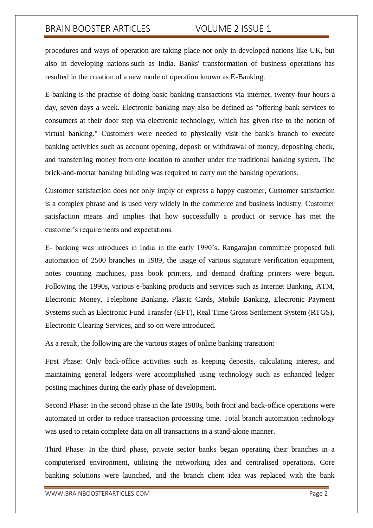procedures and ways of operation are taking place not only in developed nations like UK, but also in developing nations such as India. Banks' transformation of business operations has resulted in the creation of a new mode of operation known as E-Banking.

E-banking is the practise of doing basic banking transactions via internet, twenty-four hours a day, seven days a week. Electronic banking may also be defined as "offering bank services to consumers at their door step via electronic technology, which has given rise to the notion of virtual banking." Customers were needed to physically visit the bank's branch to execute banking activities such as account opening, deposit or withdrawal of money, depositing check, and transferring money from one location to another under the traditional banking system. The brick-and-mortar banking building was required to carry out the banking operations.

Customer satisfaction does not only imply or express a happy customer, Customer satisfaction is a complex phrase and is used very widely in the commerce and business industry. Customer satisfaction means and implies that how successfully a product or service has met the customer's requirements and expectations.

E- banking was introduces in India in the early 1990's. Rangarajan committee proposed full automation of 2500 branches in 1989, the usage of various signature verification equipment, notes counting machines, pass book printers, and demand drafting printers were begun. Following the 1990s, various e-banking products and services such as Internet Banking, ATM, Electronic Money, Telephone Banking, Plastic Cards, Mobile Banking, Electronic Payment Systems such as Electronic Fund Transfer (EFT), Real Time Gross Settlement System (RTGS), Electronic Clearing Services, and so on were introduced.

As a result, the following are the various stages of online banking transition:

First Phase: Only back-office activities such as keeping deposits, calculating interest, and maintaining general ledgers were accomplished using technology such as enhanced ledger posting machines during the early phase of development.

Second Phase: In the second phase in the late 1980s, both front and back-office operations were automated in order to reduce transaction processing time. Total branch automation technology was used to retain complete data on all transactions in a stand-alone manner.

Third Phase: In the third phase, private sector banks began operating their branches in a computerised environment, utilising the networking idea and centralised operations. Core banking solutions were launched, and the branch client idea was replaced with the bank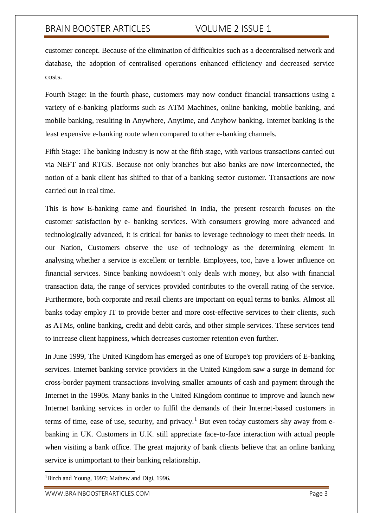customer concept. Because of the elimination of difficulties such as a decentralised network and database, the adoption of centralised operations enhanced efficiency and decreased service costs.

Fourth Stage: In the fourth phase, customers may now conduct financial transactions using a variety of e-banking platforms such as ATM Machines, online banking, mobile banking, and mobile banking, resulting in Anywhere, Anytime, and Anyhow banking. Internet banking is the least expensive e-banking route when compared to other e-banking channels.

Fifth Stage: The banking industry is now at the fifth stage, with various transactions carried out via NEFT and RTGS. Because not only branches but also banks are now interconnected, the notion of a bank client has shifted to that of a banking sector customer. Transactions are now carried out in real time.

This is how E-banking came and flourished in India, the present research focuses on the customer satisfaction by e- banking services. With consumers growing more advanced and technologically advanced, it is critical for banks to leverage technology to meet their needs. In our Nation, Customers observe the use of technology as the determining element in analysing whether a service is excellent or terrible. Employees, too, have a lower influence on financial services. Since banking nowdoesn't only deals with money, but also with financial transaction data, the range of services provided contributes to the overall rating of the service. Furthermore, both corporate and retail clients are important on equal terms to banks. Almost all banks today employ IT to provide better and more cost-effective services to their clients, such as ATMs, online banking, credit and debit cards, and other simple services. These services tend to increase client happiness, which decreases customer retention even further.

In June 1999, The United Kingdom has emerged as one of Europe's top providers of E-banking services. Internet banking service providers in the United Kingdom saw a surge in demand for cross-border payment transactions involving smaller amounts of cash and payment through the Internet in the 1990s. Many banks in the United Kingdom continue to improve and launch new Internet banking services in order to fulfil the demands of their Internet-based customers in terms of time, ease of use, security, and privacy.<sup>1</sup> But even today customers shy away from ebanking in UK. Customers in U.K. still appreciate face-to-face interaction with actual people when visiting a bank office. The great majority of bank clients believe that an online banking service is unimportant to their banking relationship.

<sup>&</sup>lt;sup>1</sup>Birch and Young, 1997; Mathew and Digi, 1996.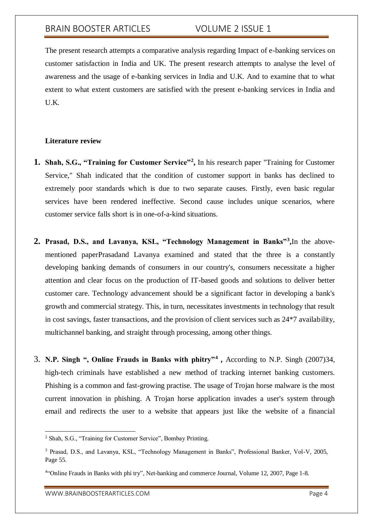The present research attempts a comparative analysis regarding Impact of e-banking services on customer satisfaction in India and UK. The present research attempts to analyse the level of awareness and the usage of e-banking services in India and U.K. And to examine that to what extent to what extent customers are satisfied with the present e-banking services in India and U.K.

#### **Literature review**

- **1. Shah, S.G., "Training for Customer Service"<sup>2</sup> ,** In his research paper "Training for Customer Service," Shah indicated that the condition of customer support in banks has declined to extremely poor standards which is due to two separate causes. Firstly, even basic regular services have been rendered ineffective. Second cause includes unique scenarios, where customer service falls short is in one-of-a-kind situations.
- **2. Prasad, D.S., and Lavanya, KSL, "Technology Management in Banks"<sup>3</sup> ,**In the abovementioned paperPrasadand Lavanya examined and stated that the three is a constantly developing banking demands of consumers in our country's, consumers necessitate a higher attention and clear focus on the production of IT-based goods and solutions to deliver better customer care. Technology advancement should be a significant factor in developing a bank's growth and commercial strategy. This, in turn, necessitates investments in technology that result in cost savings, faster transactions, and the provision of client services such as 24\*7 availability, multichannel banking, and straight through processing, among other things.
- 3. **N.P. Singh ", Online Frauds in Banks with phitry"<sup>4</sup> ,** According to N.P. Singh (2007)34, high-tech criminals have established a new method of tracking internet banking customers. Phishing is a common and fast-growing practise. The usage of Trojan horse malware is the most current innovation in phishing. A Trojan horse application invades a user's system through email and redirects the user to a website that appears just like the website of a financial

1

<sup>2</sup> Shah, S.G., "Training for Customer Service", Bombay Printing.

<sup>3</sup> Prasad, D.S., and Lavanya, KSL, "Technology Management in Banks", Professional Banker, Vol-V, 2005, Page 55.

<sup>4</sup> "Online Frauds in Banks with phi try", Net-banking and commerce Journal, Volume 12, 2007, Page 1-8.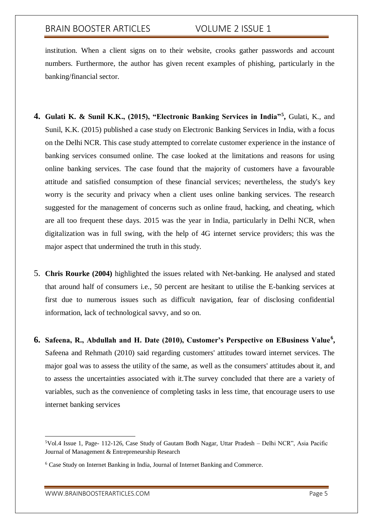institution. When a client signs on to their website, crooks gather passwords and account numbers. Furthermore, the author has given recent examples of phishing, particularly in the banking/financial sector.

- **4. Gulati K. & Sunil K.K., (2015), "Electronic Banking Services in India"<sup>5</sup> ,** Gulati, K., and Sunil, K.K. (2015) published a case study on Electronic Banking Services in India, with a focus on the Delhi NCR. This case study attempted to correlate customer experience in the instance of banking services consumed online. The case looked at the limitations and reasons for using online banking services. The case found that the majority of customers have a favourable attitude and satisfied consumption of these financial services; nevertheless, the study's key worry is the security and privacy when a client uses online banking services. The research suggested for the management of concerns such as online fraud, hacking, and cheating, which are all too frequent these days. 2015 was the year in India, particularly in Delhi NCR, when digitalization was in full swing, with the help of 4G internet service providers; this was the major aspect that undermined the truth in this study.
- 5. **Chris Rourke (2004)** highlighted the issues related with Net-banking. He analysed and stated that around half of consumers i.e., 50 percent are hesitant to utilise the E-banking services at first due to numerous issues such as difficult navigation, fear of disclosing confidential information, lack of technological savvy, and so on.
- **6. Safeena, R., Abdullah and H. Date (2010), Customer's Perspective on EBusiness Value<sup>6</sup> ,**  Safeena and Rehmath (2010) said regarding customers' attitudes toward internet services. The major goal was to assess the utility of the same, as well as the consumers' attitudes about it, and to assess the uncertainties associated with it.The survey concluded that there are a variety of variables, such as the convenience of completing tasks in less time, that encourage users to use internet banking services

1

<sup>5</sup>Vol.4 Issue 1, Page- 112-126, Case Study of Gautam Bodh Nagar, Uttar Pradesh – Delhi NCR", Asia Pacific Journal of Management & Entrepreneurship Research

<sup>6</sup> Case Study on Internet Banking in India, Journal of Internet Banking and Commerce.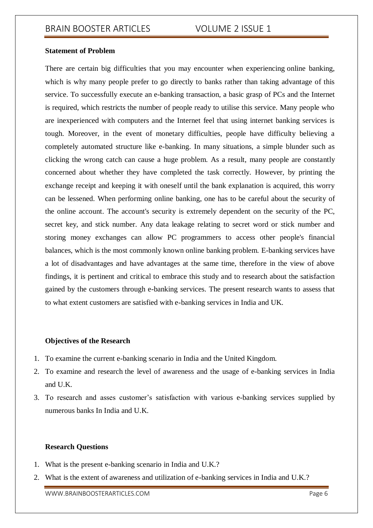### **Statement of Problem**

There are certain big difficulties that you may encounter when experiencing online banking, which is why many people prefer to go directly to banks rather than taking advantage of this service. To successfully execute an e-banking transaction, a basic grasp of PCs and the Internet is required, which restricts the number of people ready to utilise this service. Many people who are inexperienced with computers and the Internet feel that using internet banking services is tough. Moreover, in the event of monetary difficulties, people have difficulty believing a completely automated structure like e-banking. In many situations, a simple blunder such as clicking the wrong catch can cause a huge problem. As a result, many people are constantly concerned about whether they have completed the task correctly. However, by printing the exchange receipt and keeping it with oneself until the bank explanation is acquired, this worry can be lessened. When performing online banking, one has to be careful about the security of the online account. The account's security is extremely dependent on the security of the PC, secret key, and stick number. Any data leakage relating to secret word or stick number and storing money exchanges can allow PC programmers to access other people's financial balances, which is the most commonly known online banking problem. E-banking services have a lot of disadvantages and have advantages at the same time, therefore in the view of above findings, it is pertinent and critical to embrace this study and to research about the satisfaction gained by the customers through e-banking services. The present research wants to assess that to what extent customers are satisfied with e-banking services in India and UK.

### **Objectives of the Research**

- 1. To examine the current e-banking scenario in India and the United Kingdom.
- 2. To examine and research the level of awareness and the usage of e-banking services in India and U.K.
- 3. To research and asses customer's satisfaction with various e-banking services supplied by numerous banks In India and U.K.

### **Research Questions**

- 1. What is the present e-banking scenario in India and U.K.?
- 2. What is the extent of awareness and utilization of e-banking services in India and U.K.?

WWW.BRAINBOOSTERARTICLES.COM extended that the control of the page 6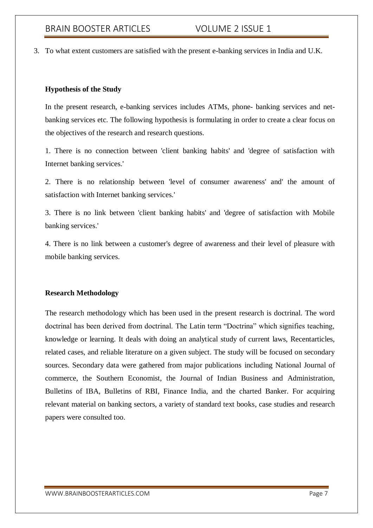3. To what extent customers are satisfied with the present e-banking services in India and U.K.

### **Hypothesis of the Study**

In the present research, e-banking services includes ATMs, phone- banking services and netbanking services etc. The following hypothesis is formulating in order to create a clear focus on the objectives of the research and research questions.

1. There is no connection between 'client banking habits' and 'degree of satisfaction with Internet banking services.'

2. There is no relationship between 'level of consumer awareness' and' the amount of satisfaction with Internet banking services.'

3. There is no link between 'client banking habits' and 'degree of satisfaction with Mobile banking services.'

4. There is no link between a customer's degree of awareness and their level of pleasure with mobile banking services.

### **Research Methodology**

The research methodology which has been used in the present research is doctrinal. The word doctrinal has been derived from doctrinal. The Latin term "Doctrina" which signifies teaching, knowledge or learning. It deals with doing an analytical study of current laws, Recentarticles, related cases, and reliable literature on a given subject. The study will be focused on secondary sources. Secondary data were gathered from major publications including National Journal of commerce, the Southern Economist, the Journal of Indian Business and Administration, Bulletins of IBA, Bulletins of RBI, Finance India, and the charted Banker. For acquiring relevant material on banking sectors, a variety of standard text books, case studies and research papers were consulted too.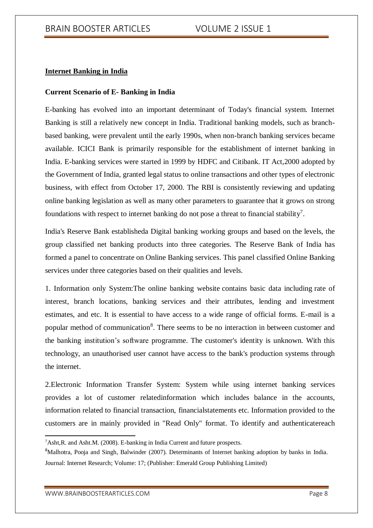### **Internet Banking in India**

#### **Current Scenario of E- Banking in India**

E-banking has evolved into an important determinant of Today's financial system. Internet Banking is still a relatively new concept in India. Traditional banking models, such as branchbased banking, were prevalent until the early 1990s, when non-branch banking services became available. ICICI Bank is primarily responsible for the establishment of internet banking in India. E-banking services were started in 1999 by HDFC and Citibank. IT Act,2000 adopted by the Government of India, granted legal status to online transactions and other types of electronic business, with effect from October 17, 2000. The RBI is consistently reviewing and updating online banking legislation as well as many other parameters to guarantee that it grows on strong foundations with respect to internet banking do not pose a threat to financial stability<sup>7</sup>.

India's Reserve Bank establisheda Digital banking working groups and based on the levels, the group classified net banking products into three categories. The Reserve Bank of India has formed a panel to concentrate on Online Banking services. This panel classified Online Banking services under three categories based on their qualities and levels.

1. Information only System:The online banking website contains basic data including rate of interest, branch locations, banking services and their attributes, lending and investment estimates, and etc. It is essential to have access to a wide range of official forms. E-mail is a popular method of communication<sup>8</sup>. There seems to be no interaction in between customer and the banking institution's software programme. The customer's identity is unknown. With this technology, an unauthorised user cannot have access to the bank's production systems through the internet.

2.Electronic Information Transfer System: System while using internet banking services provides a lot of customer relatedinformation which includes balance in the accounts, information related to financial transaction, financialstatements etc. Information provided to the customers are in mainly provided in "Read Only" format. To identify and authenticatereach

<sup>7</sup>Asht,R. and Asht.M. (2008). E-banking in India Current and future prospects.

<sup>&</sup>lt;sup>8</sup>Malhotra, Pooja and Singh, Balwinder (2007). Determinants of Internet banking adoption by banks in India. Journal: Internet Research; Volume: 17; (Publisher: Emerald Group Publishing Limited)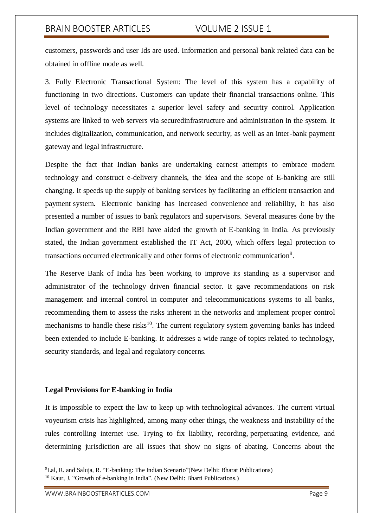customers, passwords and user Ids are used. Information and personal bank related data can be obtained in offline mode as well.

3. Fully Electronic Transactional System: The level of this system has a capability of functioning in two directions. Customers can update their financial transactions online. This level of technology necessitates a superior level safety and security control. Application systems are linked to web servers via securedinfrastructure and administration in the system. It includes digitalization, communication, and network security, as well as an inter-bank payment gateway and legal infrastructure.

Despite the fact that Indian banks are undertaking earnest attempts to embrace modern technology and construct e-delivery channels, the idea and the scope of E-banking are still changing. It speeds up the supply of banking services by facilitating an efficient transaction and payment system. Electronic banking has increased convenience and reliability, it has also presented a number of issues to bank regulators and supervisors. Several measures done by the Indian government and the RBI have aided the growth of E-banking in India. As previously stated, the Indian government established the IT Act, 2000, which offers legal protection to transactions occurred electronically and other forms of electronic communication<sup>9</sup>.

The Reserve Bank of India has been working to improve its standing as a supervisor and administrator of the technology driven financial sector. It gave recommendations on risk management and internal control in computer and telecommunications systems to all banks, recommending them to assess the risks inherent in the networks and implement proper control mechanisms to handle these risks<sup>10</sup>. The current regulatory system governing banks has indeed been extended to include E-banking. It addresses a wide range of topics related to technology, security standards, and legal and regulatory concerns.

#### **Legal Provisions for E-banking in India**

It is impossible to expect the law to keep up with technological advances. The current virtual voyeurism crisis has highlighted, among many other things, the weakness and instability of the rules controlling internet use. Trying to fix liability, recording, perpetuating evidence, and determining jurisdiction are all issues that show no signs of abating. Concerns about the

<sup>9</sup>Lal, R. and Saluja, R. "E-banking: The Indian Scenario"(New Delhi: Bharat Publications)

<sup>&</sup>lt;sup>10</sup> Kaur, J. "Growth of e-banking in India". (New Delhi: Bharti Publications.)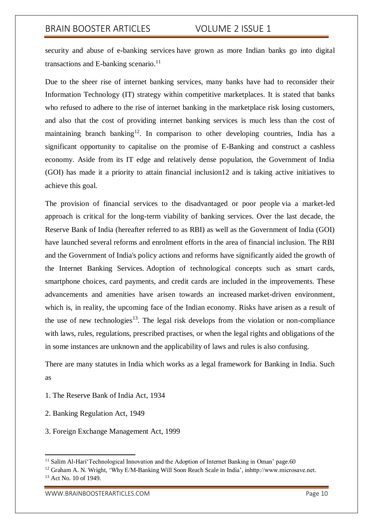security and abuse of e-banking services have grown as more Indian banks go into digital transactions and E-banking scenario. $11$ 

Due to the sheer rise of internet banking services, many banks have had to reconsider their Information Technology (IT) strategy within competitive marketplaces. It is stated that banks who refused to adhere to the rise of internet banking in the marketplace risk losing customers, and also that the cost of providing internet banking services is much less than the cost of maintaining branch banking<sup>12</sup>. In comparison to other developing countries, India has a significant opportunity to capitalise on the promise of E-Banking and construct a cashless economy. Aside from its IT edge and relatively dense population, the Government of India (GOI) has made it a priority to attain financial inclusion12 and is taking active initiatives to achieve this goal.

The provision of financial services to the disadvantaged or poor people via a market-led approach is critical for the long-term viability of banking services. Over the last decade, the Reserve Bank of India (hereafter referred to as RBI) as well as the Government of India (GOI) have launched several reforms and enrolment efforts in the area of financial inclusion. The RBI and the Government of India's policy actions and reforms have significantly aided the growth of the Internet Banking Services. Adoption of technological concepts such as smart cards, smartphone choices, card payments, and credit cards are included in the improvements. These advancements and amenities have arisen towards an increased market-driven environment, which is, in reality, the upcoming face of the Indian economy. Risks have arisen as a result of the use of new technologies<sup>13</sup>. The legal risk develops from the violation or non-compliance with laws, rules, regulations, prescribed practises, or when the legal rights and obligations of the in some instances are unknown and the applicability of laws and rules is also confusing.

There are many statutes in India which works as a legal framework for Banking in India. Such as

- 1. The Reserve Bank of India Act, 1934
- 2. Banking Regulation Act, 1949
- 3. Foreign Exchange Management Act, 1999

-

<sup>&</sup>lt;sup>11</sup> Salim Al-Hari'Technological Innovation and the Adoption of Internet Banking in Oman' page.60

<sup>&</sup>lt;sup>12</sup> Graham A. N. Wright, 'Why E/M-Banking Will Soon Reach Scale in India', inhttp://www.microsave.net.

<sup>&</sup>lt;sup>13</sup> Act No. 10 of 1949.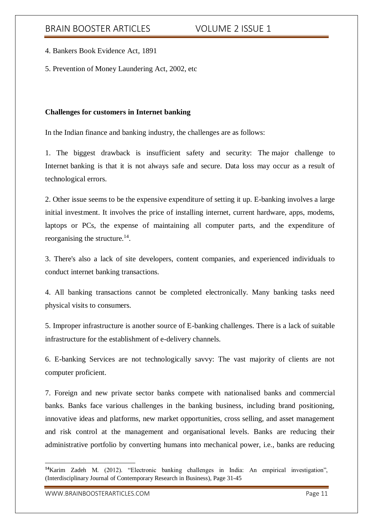4. Bankers Book Evidence Act, 1891

5. Prevention of Money Laundering Act, 2002, etc

### **Challenges for customers in Internet banking**

In the Indian finance and banking industry, the challenges are as follows:

1. The biggest drawback is insufficient safety and security: The major challenge to Internet banking is that it is not always safe and secure. Data loss may occur as a result of technological errors.

2. Other issue seems to be the expensive expenditure of setting it up. E-banking involves a large initial investment. It involves the price of installing internet, current hardware, apps, modems, laptops or PCs, the expense of maintaining all computer parts, and the expenditure of reorganising the structure. $14$ .

3. There's also a lack of site developers, content companies, and experienced individuals to conduct internet banking transactions.

4. All banking transactions cannot be completed electronically. Many banking tasks need physical visits to consumers.

5. Improper infrastructure is another source of E-banking challenges. There is a lack of suitable infrastructure for the establishment of e-delivery channels.

6. E-banking Services are not technologically savvy: The vast majority of clients are not computer proficient.

7. Foreign and new private sector banks compete with nationalised banks and commercial banks. Banks face various challenges in the banking business, including brand positioning, innovative ideas and platforms, new market opportunities, cross selling, and asset management and risk control at the management and organisational levels. Banks are reducing their administrative portfolio by converting humans into mechanical power, i.e., banks are reducing

**<sup>14</sup>**Karim Zadeh M. (2012). "Electronic banking challenges in India: An empirical investigation", (Interdisciplinary Journal of Contemporary Research in Business), Page 31-45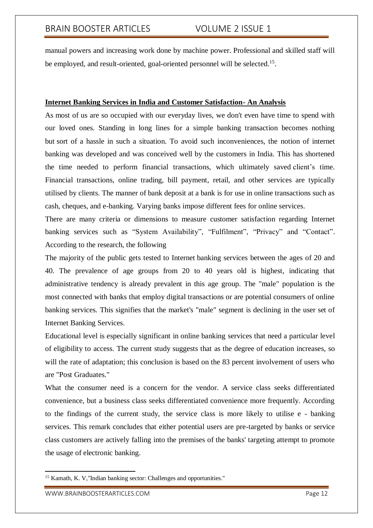manual powers and increasing work done by machine power. Professional and skilled staff will be employed, and result-oriented, goal-oriented personnel will be selected.<sup>15</sup>.

### **Internet Banking Services in India and Customer Satisfaction- An Analysis**

As most of us are so occupied with our everyday lives, we don't even have time to spend with our loved ones. Standing in long lines for a simple banking transaction becomes nothing but sort of a hassle in such a situation. To avoid such inconveniences, the notion of internet banking was developed and was conceived well by the customers in India. This has shortened the time needed to perform financial transactions, which ultimately saved client's time. Financial transactions, online trading, bill payment, retail, and other services are typically utilised by clients. The manner of bank deposit at a bank is for use in online transactions such as cash, cheques, and e-banking. Varying banks impose different fees for online services.

There are many criteria or dimensions to measure customer satisfaction regarding Internet banking services such as "System Availability", "Fulfilment", "Privacy" and "Contact". According to the research, the following

The majority of the public gets tested to Internet banking services between the ages of 20 and 40. The prevalence of age groups from 20 to 40 years old is highest, indicating that administrative tendency is already prevalent in this age group. The "male" population is the most connected with banks that employ digital transactions or are potential consumers of online banking services. This signifies that the market's "male" segment is declining in the user set of Internet Banking Services.

Educational level is especially significant in online banking services that need a particular level of eligibility to access. The current study suggests that as the degree of education increases, so will the rate of adaptation; this conclusion is based on the 83 percent involvement of users who are "Post Graduates."

What the consumer need is a concern for the vendor. A service class seeks differentiated convenience, but a business class seeks differentiated convenience more frequently. According to the findings of the current study, the service class is more likely to utilise e - banking services. This remark concludes that either potential users are pre-targeted by banks or service class customers are actively falling into the premises of the banks' targeting attempt to promote the usage of electronic banking.

<sup>&</sup>lt;sup>15</sup> Kamath, K. V, "Indian banking sector: Challenges and opportunities."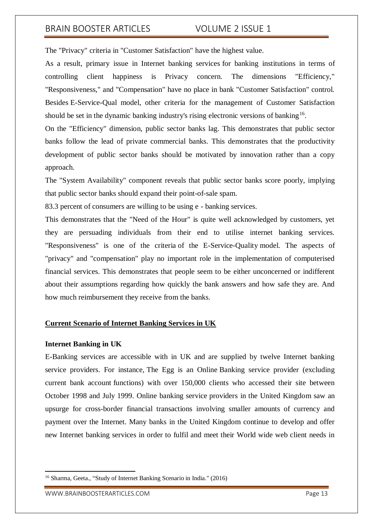The "Privacy" criteria in "Customer Satisfaction" have the highest value.

As a result, primary issue in Internet banking services for banking institutions in terms of controlling client happiness is Privacy concern. The dimensions "Efficiency," "Responsiveness," and "Compensation" have no place in bank "Customer Satisfaction" control. Besides E-Service-Qual model, other criteria for the management of Customer Satisfaction should be set in the dynamic banking industry's rising electronic versions of banking<sup>16</sup>.

On the "Efficiency" dimension, public sector banks lag. This demonstrates that public sector banks follow the lead of private commercial banks. This demonstrates that the productivity development of public sector banks should be motivated by innovation rather than a copy approach.

The "System Availability" component reveals that public sector banks score poorly, implying that public sector banks should expand their point-of-sale spam.

83.3 percent of consumers are willing to be using e - banking services.

This demonstrates that the "Need of the Hour" is quite well acknowledged by customers, yet they are persuading individuals from their end to utilise internet banking services. "Responsiveness" is one of the criteria of the E-Service-Quality model. The aspects of "privacy" and "compensation" play no important role in the implementation of computerised financial services. This demonstrates that people seem to be either unconcerned or indifferent about their assumptions regarding how quickly the bank answers and how safe they are. And how much reimbursement they receive from the banks.

# **Current Scenario of Internet Banking Services in UK**

### **Internet Banking in UK**

E-Banking services are accessible with in UK and are supplied by twelve Internet banking service providers. For instance, The Egg is an Online Banking service provider (excluding current bank account functions) with over 150,000 clients who accessed their site between October 1998 and July 1999. Online banking service providers in the United Kingdom saw an upsurge for cross-border financial transactions involving smaller amounts of currency and payment over the Internet. Many banks in the United Kingdom continue to develop and offer new Internet banking services in order to fulfil and meet their World wide web client needs in

<sup>16</sup> Sharma, Geeta., "Study of Internet Banking Scenario in India." (2016)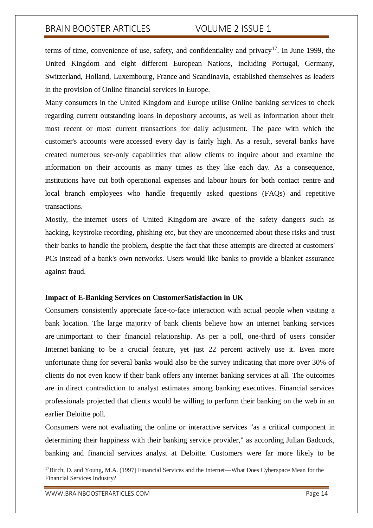terms of time, convenience of use, safety, and confidentiality and privacy<sup>17</sup>. In June 1999, the United Kingdom and eight different European Nations, including Portugal, Germany, Switzerland, Holland, Luxembourg, France and Scandinavia, established themselves as leaders in the provision of Online financial services in Europe.

Many consumers in the United Kingdom and Europe utilise Online banking services to check regarding current outstanding loans in depository accounts, as well as information about their most recent or most current transactions for daily adjustment. The pace with which the customer's accounts were accessed every day is fairly high. As a result, several banks have created numerous see-only capabilities that allow clients to inquire about and examine the information on their accounts as many times as they like each day. As a consequence, institutions have cut both operational expenses and labour hours for both contact centre and local branch employees who handle frequently asked questions (FAQs) and repetitive transactions.

Mostly, the internet users of United Kingdom are aware of the safety dangers such as hacking, keystroke recording, phishing etc, but they are unconcerned about these risks and trust their banks to handle the problem, despite the fact that these attempts are directed at customers' PCs instead of a bank's own networks. Users would like banks to provide a blanket assurance against fraud.

#### **Impact of E-Banking Services on CustomerSatisfaction in UK**

Consumers consistently appreciate face-to-face interaction with actual people when visiting a bank location. The large majority of bank clients believe how an internet banking services are unimportant to their financial relationship. As per a poll, one-third of users consider Internet banking to be a crucial feature, yet just 22 percent actively use it. Even more unfortunate thing for several banks would also be the survey indicating that more over 30% of clients do not even know if their bank offers any internet banking services at all. The outcomes are in direct contradiction to analyst estimates among banking executives. Financial services professionals projected that clients would be willing to perform their banking on the web in an earlier Deloitte poll.

Consumers were not evaluating the online or interactive services "as a critical component in determining their happiness with their banking service provider," as according Julian Badcock, banking and financial services analyst at Deloitte. Customers were far more likely to be

<sup>&</sup>lt;sup>17</sup>Birch, D. and Young, M.A. (1997) Financial Services and the Internet—What Does Cyberspace Mean for the Financial Services Industry?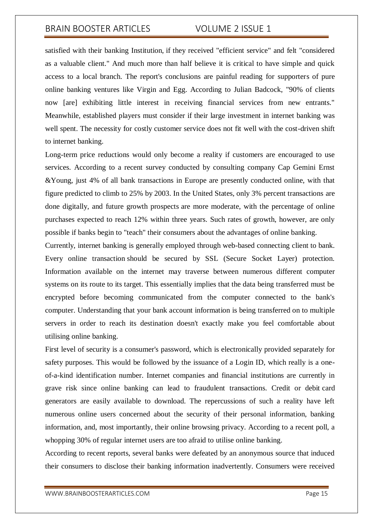satisfied with their banking Institution, if they received "efficient service" and felt "considered as a valuable client." And much more than half believe it is critical to have simple and quick access to a local branch. The report's conclusions are painful reading for supporters of pure online banking ventures like Virgin and Egg. According to Julian Badcock, "90% of clients now [are] exhibiting little interest in receiving financial services from new entrants." Meanwhile, established players must consider if their large investment in internet banking was well spent. The necessity for costly customer service does not fit well with the cost-driven shift to internet banking.

Long-term price reductions would only become a reality if customers are encouraged to use services. According to a recent survey conducted by consulting company Cap Gemini Ernst &Young, just 4% of all bank transactions in Europe are presently conducted online, with that figure predicted to climb to 25% by 2003. In the United States, only 3% percent transactions are done digitally, and future growth prospects are more moderate, with the percentage of online purchases expected to reach 12% within three years. Such rates of growth, however, are only possible if banks begin to "teach" their consumers about the advantages of online banking.

Currently, internet banking is generally employed through web-based connecting client to bank. Every online transaction should be secured by SSL (Secure Socket Layer) protection. Information available on the internet may traverse between numerous different computer systems on its route to its target. This essentially implies that the data being transferred must be encrypted before becoming communicated from the computer connected to the bank's computer. Understanding that your bank account information is being transferred on to multiple servers in order to reach its destination doesn't exactly make you feel comfortable about utilising online banking.

First level of security is a consumer's password, which is electronically provided separately for safety purposes. This would be followed by the issuance of a Login ID, which really is a oneof-a-kind identification number. Internet companies and financial institutions are currently in grave risk since online banking can lead to fraudulent transactions. Credit or debit card generators are easily available to download. The repercussions of such a reality have left numerous online users concerned about the security of their personal information, banking information, and, most importantly, their online browsing privacy. According to a recent poll, a whopping 30% of regular internet users are too afraid to utilise online banking.

According to recent reports, several banks were defeated by an anonymous source that induced their consumers to disclose their banking information inadvertently. Consumers were received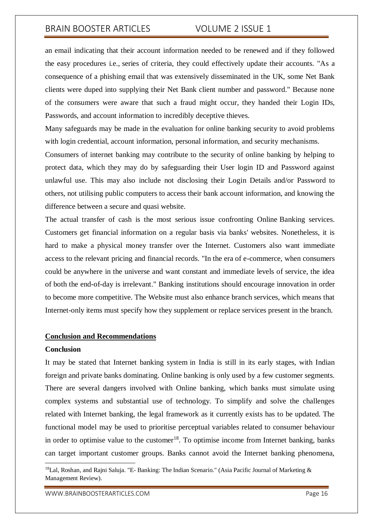an email indicating that their account information needed to be renewed and if they followed the easy procedures i.e., series of criteria, they could effectively update their accounts. "As a consequence of a phishing email that was extensively disseminated in the UK, some Net Bank clients were duped into supplying their Net Bank client number and password." Because none of the consumers were aware that such a fraud might occur, they handed their Login IDs, Passwords, and account information to incredibly deceptive thieves.

Many safeguards may be made in the evaluation for online banking security to avoid problems with login credential, account information, personal information, and security mechanisms.

Consumers of internet banking may contribute to the security of online banking by helping to protect data, which they may do by safeguarding their User login ID and Password against unlawful use. This may also include not disclosing their Login Details and/or Password to others, not utilising public computers to access their bank account information, and knowing the difference between a secure and quasi website.

The actual transfer of cash is the most serious issue confronting Online Banking services. Customers get financial information on a regular basis via banks' websites. Nonetheless, it is hard to make a physical money transfer over the Internet. Customers also want immediate access to the relevant pricing and financial records. "In the era of e-commerce, when consumers could be anywhere in the universe and want constant and immediate levels of service, the idea of both the end-of-day is irrelevant." Banking institutions should encourage innovation in order to become more competitive. The Website must also enhance branch services, which means that Internet-only items must specify how they supplement or replace services present in the branch.

#### **Conclusion and Recommendations**

#### **Conclusion**

**.** 

It may be stated that Internet banking system in India is still in its early stages, with Indian foreign and private banks dominating. Online banking is only used by a few customer segments. There are several dangers involved with Online banking, which banks must simulate using complex systems and substantial use of technology. To simplify and solve the challenges related with Internet banking, the legal framework as it currently exists has to be updated. The functional model may be used to prioritise perceptual variables related to consumer behaviour in order to optimise value to the customer<sup>18</sup>. To optimise income from Internet banking, banks can target important customer groups. Banks cannot avoid the Internet banking phenomena,

WWW.BRAINBOOSTERARTICLES.COM **Page 16** 

<sup>&</sup>lt;sup>18</sup>Lal, Roshan, and Rajni Saluja. "E- Banking: The Indian Scenario." (Asia Pacific Journal of Marketing  $\&$ Management Review).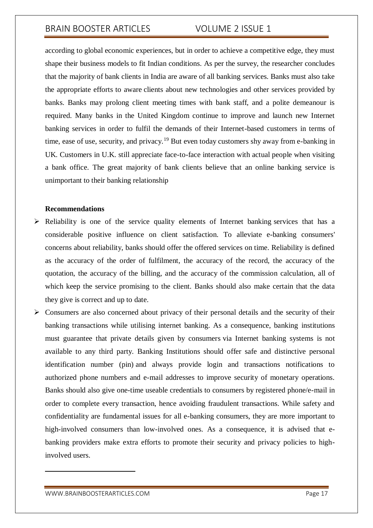according to global economic experiences, but in order to achieve a competitive edge, they must shape their business models to fit Indian conditions. As per the survey, the researcher concludes that the majority of bank clients in India are aware of all banking services. Banks must also take the appropriate efforts to aware clients about new technologies and other services provided by banks. Banks may prolong client meeting times with bank staff, and a polite demeanour is required. Many banks in the United Kingdom continue to improve and launch new Internet banking services in order to fulfil the demands of their Internet-based customers in terms of time, ease of use, security, and privacy.<sup>19</sup> But even today customers shy away from e-banking in UK. Customers in U.K. still appreciate face-to-face interaction with actual people when visiting a bank office. The great majority of bank clients believe that an online banking service is unimportant to their banking relationship

### **Recommendations**

- $\triangleright$  Reliability is one of the service quality elements of Internet banking services that has a considerable positive influence on client satisfaction. To alleviate e-banking consumers' concerns about reliability, banks should offer the offered services on time. Reliability is defined as the accuracy of the order of fulfilment, the accuracy of the record, the accuracy of the quotation, the accuracy of the billing, and the accuracy of the commission calculation, all of which keep the service promising to the client. Banks should also make certain that the data they give is correct and up to date.
- $\triangleright$  Consumers are also concerned about privacy of their personal details and the security of their banking transactions while utilising internet banking. As a consequence, banking institutions must guarantee that private details given by consumers via Internet banking systems is not available to any third party. Banking Institutions should offer safe and distinctive personal identification number (pin) and always provide login and transactions notifications to authorized phone numbers and e-mail addresses to improve security of monetary operations. Banks should also give one-time useable credentials to consumers by registered phone/e-mail in order to complete every transaction, hence avoiding fraudulent transactions. While safety and confidentiality are fundamental issues for all e-banking consumers, they are more important to high-involved consumers than low-involved ones. As a consequence, it is advised that ebanking providers make extra efforts to promote their security and privacy policies to highinvolved users.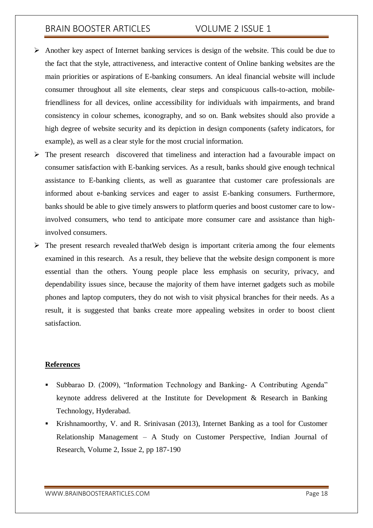- $\triangleright$  Another key aspect of Internet banking services is design of the website. This could be due to the fact that the style, attractiveness, and interactive content of Online banking websites are the main priorities or aspirations of E-banking consumers. An ideal financial website will include consumer throughout all site elements, clear steps and conspicuous calls-to-action, mobilefriendliness for all devices, online accessibility for individuals with impairments, and brand consistency in colour schemes, iconography, and so on. Bank websites should also provide a high degree of website security and its depiction in design components (safety indicators, for example), as well as a clear style for the most crucial information.
- $\triangleright$  The present research discovered that timeliness and interaction had a favourable impact on consumer satisfaction with E-banking services. As a result, banks should give enough technical assistance to E-banking clients, as well as guarantee that customer care professionals are informed about e-banking services and eager to assist E-banking consumers. Furthermore, banks should be able to give timely answers to platform queries and boost customer care to lowinvolved consumers, who tend to anticipate more consumer care and assistance than highinvolved consumers.
- $\triangleright$  The present research revealed that Web design is important criteria among the four elements examined in this research. As a result, they believe that the website design component is more essential than the others. Young people place less emphasis on security, privacy, and dependability issues since, because the majority of them have internet gadgets such as mobile phones and laptop computers, they do not wish to visit physical branches for their needs. As a result, it is suggested that banks create more appealing websites in order to boost client satisfaction.

### **References**

- Subbarao D. (2009), "Information Technology and Banking- A Contributing Agenda" keynote address delivered at the Institute for Development & Research in Banking Technology, Hyderabad.
- Krishnamoorthy, V. and R. Srinivasan (2013), Internet Banking as a tool for Customer Relationship Management – A Study on Customer Perspective, Indian Journal of Research, Volume 2, Issue 2, pp 187-190